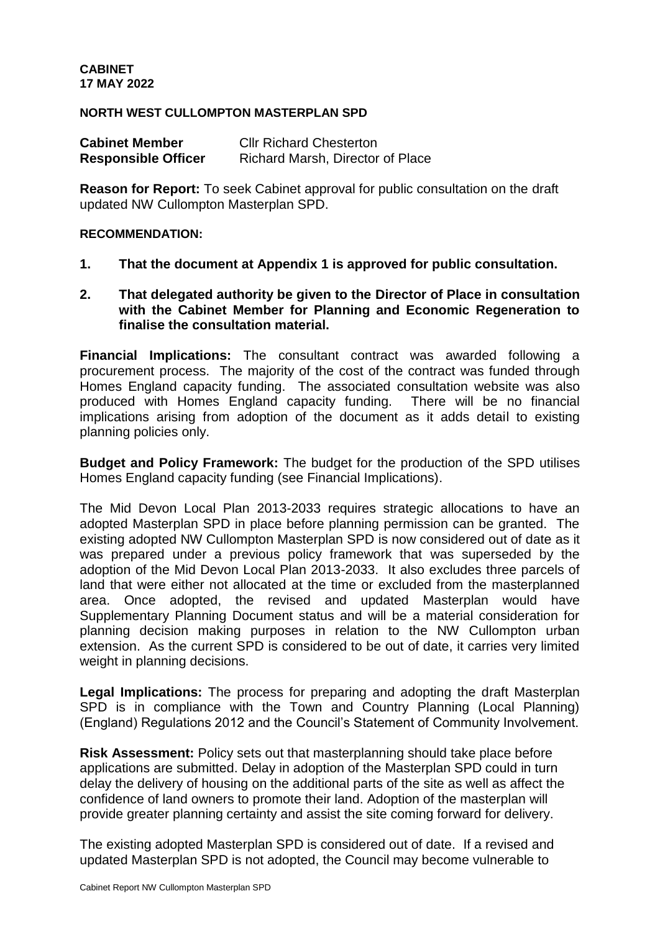### **NORTH WEST CULLOMPTON MASTERPLAN SPD**

| <b>Cabinet Member</b>      | <b>CIIr Richard Chesterton</b>   |
|----------------------------|----------------------------------|
| <b>Responsible Officer</b> | Richard Marsh, Director of Place |

**Reason for Report:** To seek Cabinet approval for public consultation on the draft updated NW Cullompton Masterplan SPD.

### **RECOMMENDATION:**

- **1. That the document at Appendix 1 is approved for public consultation.**
- **2. That delegated authority be given to the Director of Place in consultation with the Cabinet Member for Planning and Economic Regeneration to finalise the consultation material.**

**Financial Implications:** The consultant contract was awarded following a procurement process. The majority of the cost of the contract was funded through Homes England capacity funding. The associated consultation website was also produced with Homes England capacity funding. There will be no financial implications arising from adoption of the document as it adds detail to existing planning policies only.

**Budget and Policy Framework:** The budget for the production of the SPD utilises Homes England capacity funding (see Financial Implications).

The Mid Devon Local Plan 2013-2033 requires strategic allocations to have an adopted Masterplan SPD in place before planning permission can be granted. The existing adopted NW Cullompton Masterplan SPD is now considered out of date as it was prepared under a previous policy framework that was superseded by the adoption of the Mid Devon Local Plan 2013-2033. It also excludes three parcels of land that were either not allocated at the time or excluded from the masterplanned area. Once adopted, the revised and updated Masterplan would have Supplementary Planning Document status and will be a material consideration for planning decision making purposes in relation to the NW Cullompton urban extension. As the current SPD is considered to be out of date, it carries very limited weight in planning decisions.

**Legal Implications:** The process for preparing and adopting the draft Masterplan SPD is in compliance with the Town and Country Planning (Local Planning) (England) Regulations 2012 and the Council's Statement of Community Involvement.

**Risk Assessment:** Policy sets out that masterplanning should take place before applications are submitted. Delay in adoption of the Masterplan SPD could in turn delay the delivery of housing on the additional parts of the site as well as affect the confidence of land owners to promote their land. Adoption of the masterplan will provide greater planning certainty and assist the site coming forward for delivery.

The existing adopted Masterplan SPD is considered out of date. If a revised and updated Masterplan SPD is not adopted, the Council may become vulnerable to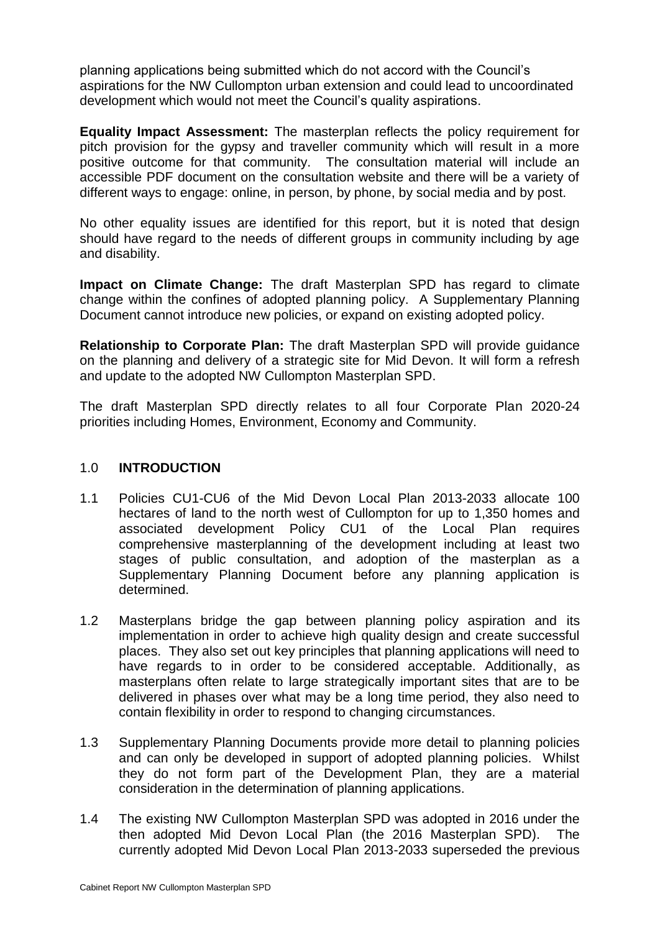planning applications being submitted which do not accord with the Council's aspirations for the NW Cullompton urban extension and could lead to uncoordinated development which would not meet the Council's quality aspirations.

**Equality Impact Assessment:** The masterplan reflects the policy requirement for pitch provision for the gypsy and traveller community which will result in a more positive outcome for that community. The consultation material will include an accessible PDF document on the consultation website and there will be a variety of different ways to engage: online, in person, by phone, by social media and by post.

No other equality issues are identified for this report, but it is noted that design should have regard to the needs of different groups in community including by age and disability.

**Impact on Climate Change:** The draft Masterplan SPD has regard to climate change within the confines of adopted planning policy. A Supplementary Planning Document cannot introduce new policies, or expand on existing adopted policy.

**Relationship to Corporate Plan:** The draft Masterplan SPD will provide guidance on the planning and delivery of a strategic site for Mid Devon. It will form a refresh and update to the adopted NW Cullompton Masterplan SPD.

The draft Masterplan SPD directly relates to all four Corporate Plan 2020-24 priorities including Homes, Environment, Economy and Community.

## 1.0 **INTRODUCTION**

- 1.1 Policies CU1-CU6 of the Mid Devon Local Plan 2013-2033 allocate 100 hectares of land to the north west of Cullompton for up to 1,350 homes and associated development Policy CU1 of the Local Plan requires comprehensive masterplanning of the development including at least two stages of public consultation, and adoption of the masterplan as a Supplementary Planning Document before any planning application is determined.
- 1.2 Masterplans bridge the gap between planning policy aspiration and its implementation in order to achieve high quality design and create successful places. They also set out key principles that planning applications will need to have regards to in order to be considered acceptable. Additionally, as masterplans often relate to large strategically important sites that are to be delivered in phases over what may be a long time period, they also need to contain flexibility in order to respond to changing circumstances.
- 1.3 Supplementary Planning Documents provide more detail to planning policies and can only be developed in support of adopted planning policies. Whilst they do not form part of the Development Plan, they are a material consideration in the determination of planning applications.
- 1.4 The existing NW Cullompton Masterplan SPD was adopted in 2016 under the then adopted Mid Devon Local Plan (the 2016 Masterplan SPD). The currently adopted Mid Devon Local Plan 2013-2033 superseded the previous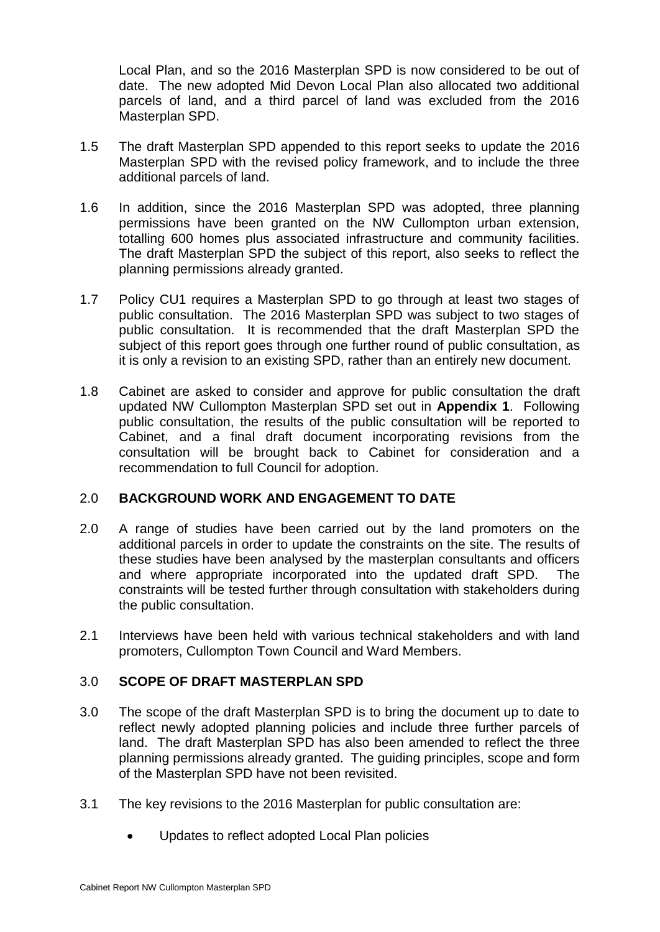Local Plan, and so the 2016 Masterplan SPD is now considered to be out of date. The new adopted Mid Devon Local Plan also allocated two additional parcels of land, and a third parcel of land was excluded from the 2016 Masterplan SPD.

- 1.5 The draft Masterplan SPD appended to this report seeks to update the 2016 Masterplan SPD with the revised policy framework, and to include the three additional parcels of land.
- 1.6 In addition, since the 2016 Masterplan SPD was adopted, three planning permissions have been granted on the NW Cullompton urban extension, totalling 600 homes plus associated infrastructure and community facilities. The draft Masterplan SPD the subject of this report, also seeks to reflect the planning permissions already granted.
- 1.7 Policy CU1 requires a Masterplan SPD to go through at least two stages of public consultation. The 2016 Masterplan SPD was subject to two stages of public consultation. It is recommended that the draft Masterplan SPD the subject of this report goes through one further round of public consultation, as it is only a revision to an existing SPD, rather than an entirely new document.
- 1.8 Cabinet are asked to consider and approve for public consultation the draft updated NW Cullompton Masterplan SPD set out in **Appendix 1**. Following public consultation, the results of the public consultation will be reported to Cabinet, and a final draft document incorporating revisions from the consultation will be brought back to Cabinet for consideration and a recommendation to full Council for adoption.

# 2.0 **BACKGROUND WORK AND ENGAGEMENT TO DATE**

- 2.0 A range of studies have been carried out by the land promoters on the additional parcels in order to update the constraints on the site. The results of these studies have been analysed by the masterplan consultants and officers and where appropriate incorporated into the updated draft SPD. The constraints will be tested further through consultation with stakeholders during the public consultation.
- 2.1 Interviews have been held with various technical stakeholders and with land promoters, Cullompton Town Council and Ward Members.

# 3.0 **SCOPE OF DRAFT MASTERPLAN SPD**

- 3.0 The scope of the draft Masterplan SPD is to bring the document up to date to reflect newly adopted planning policies and include three further parcels of land. The draft Masterplan SPD has also been amended to reflect the three planning permissions already granted. The guiding principles, scope and form of the Masterplan SPD have not been revisited.
- 3.1 The key revisions to the 2016 Masterplan for public consultation are:
	- Updates to reflect adopted Local Plan policies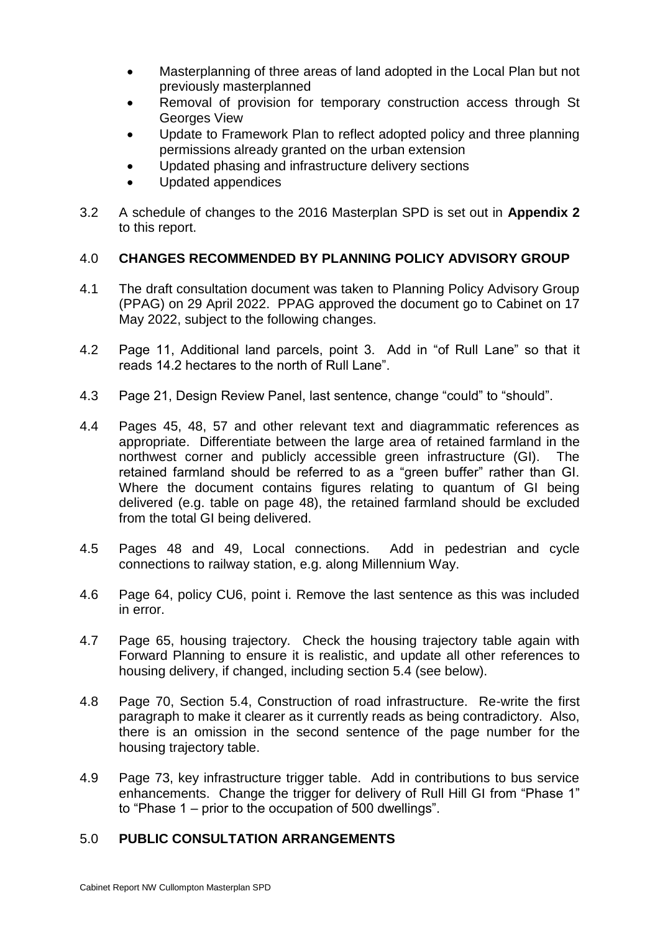- Masterplanning of three areas of land adopted in the Local Plan but not previously masterplanned
- Removal of provision for temporary construction access through St Georges View
- Update to Framework Plan to reflect adopted policy and three planning permissions already granted on the urban extension
- Updated phasing and infrastructure delivery sections
- Updated appendices
- 3.2 A schedule of changes to the 2016 Masterplan SPD is set out in **Appendix 2** to this report.

## 4.0 **CHANGES RECOMMENDED BY PLANNING POLICY ADVISORY GROUP**

- 4.1 The draft consultation document was taken to Planning Policy Advisory Group (PPAG) on 29 April 2022. PPAG approved the document go to Cabinet on 17 May 2022, subject to the following changes.
- 4.2 Page 11, Additional land parcels, point 3. Add in "of Rull Lane" so that it reads 14.2 hectares to the north of Rull Lane".
- 4.3 Page 21, Design Review Panel, last sentence, change "could" to "should".
- 4.4 Pages 45, 48, 57 and other relevant text and diagrammatic references as appropriate. Differentiate between the large area of retained farmland in the northwest corner and publicly accessible green infrastructure (GI). The retained farmland should be referred to as a "green buffer" rather than GI. Where the document contains figures relating to quantum of GI being delivered (e.g. table on page 48), the retained farmland should be excluded from the total GI being delivered.
- 4.5 Pages 48 and 49, Local connections. Add in pedestrian and cycle connections to railway station, e.g. along Millennium Way.
- 4.6 Page 64, policy CU6, point i. Remove the last sentence as this was included in error.
- 4.7 Page 65, housing trajectory. Check the housing trajectory table again with Forward Planning to ensure it is realistic, and update all other references to housing delivery, if changed, including section 5.4 (see below).
- 4.8 Page 70, Section 5.4, Construction of road infrastructure. Re-write the first paragraph to make it clearer as it currently reads as being contradictory. Also, there is an omission in the second sentence of the page number for the housing trajectory table.
- 4.9 Page 73, key infrastructure trigger table. Add in contributions to bus service enhancements. Change the trigger for delivery of Rull Hill GI from "Phase 1" to "Phase 1 – prior to the occupation of 500 dwellings".

## 5.0 **PUBLIC CONSULTATION ARRANGEMENTS**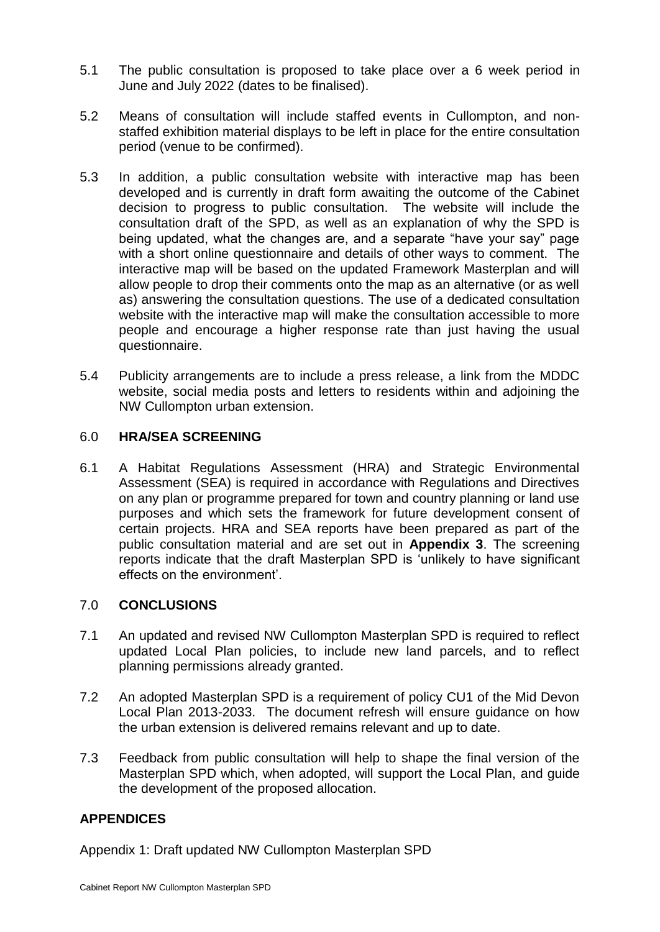- 5.1 The public consultation is proposed to take place over a 6 week period in June and July 2022 (dates to be finalised).
- 5.2 Means of consultation will include staffed events in Cullompton, and nonstaffed exhibition material displays to be left in place for the entire consultation period (venue to be confirmed).
- 5.3 In addition, a public consultation website with interactive map has been developed and is currently in draft form awaiting the outcome of the Cabinet decision to progress to public consultation. The website will include the consultation draft of the SPD, as well as an explanation of why the SPD is being updated, what the changes are, and a separate "have your say" page with a short online questionnaire and details of other ways to comment. The interactive map will be based on the updated Framework Masterplan and will allow people to drop their comments onto the map as an alternative (or as well as) answering the consultation questions. The use of a dedicated consultation website with the interactive map will make the consultation accessible to more people and encourage a higher response rate than just having the usual questionnaire.
- 5.4 Publicity arrangements are to include a press release, a link from the MDDC website, social media posts and letters to residents within and adjoining the NW Cullompton urban extension.

## 6.0 **HRA/SEA SCREENING**

6.1 A Habitat Regulations Assessment (HRA) and Strategic Environmental Assessment (SEA) is required in accordance with Regulations and Directives on any plan or programme prepared for town and country planning or land use purposes and which sets the framework for future development consent of certain projects. HRA and SEA reports have been prepared as part of the public consultation material and are set out in **Appendix 3**. The screening reports indicate that the draft Masterplan SPD is 'unlikely to have significant effects on the environment'.

## 7.0 **CONCLUSIONS**

- 7.1 An updated and revised NW Cullompton Masterplan SPD is required to reflect updated Local Plan policies, to include new land parcels, and to reflect planning permissions already granted.
- 7.2 An adopted Masterplan SPD is a requirement of policy CU1 of the Mid Devon Local Plan 2013-2033. The document refresh will ensure guidance on how the urban extension is delivered remains relevant and up to date.
- 7.3 Feedback from public consultation will help to shape the final version of the Masterplan SPD which, when adopted, will support the Local Plan, and guide the development of the proposed allocation.

# **APPENDICES**

Appendix 1: Draft updated NW Cullompton Masterplan SPD